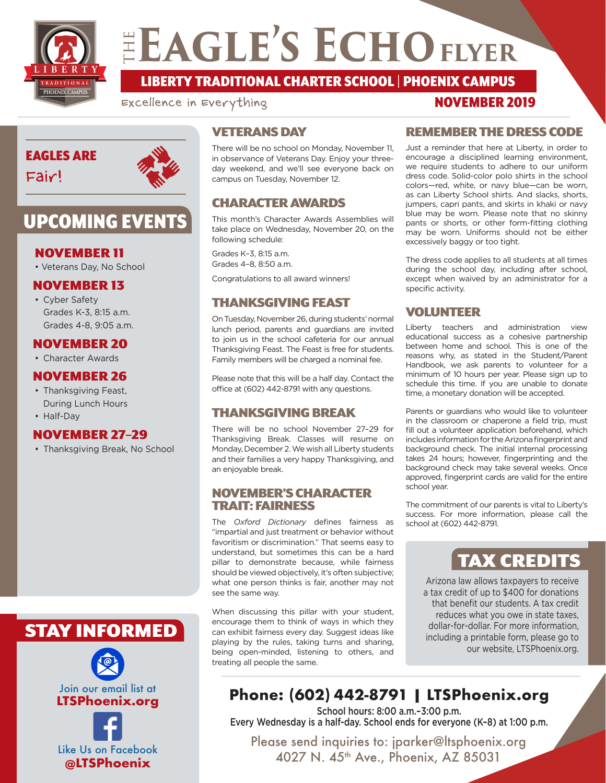

# ELAGLE'S ECHO FLYER

**TRADITIONAL LIBERTY** LIBERTY TRADITIONAL CHARTER SCHOOL | PHOENIX CAMPUS

Excellence in Everything



Fair!



## UPCOMING EVENTS

## NOVEMBER 11

• Veterans Day, No School

## NOVEMBER 13

• Cyber Safety Grades K-3, 8:15 a.m. Grades 4-8, 9:05 a.m.

## NOVEMBER 20

• Character Awards

## NOVEMBER 26

- Thanksgiving Feast, During Lunch Hours
- Half-Day

## NOVEMBER 27–29

• Thanksgiving Break, No School

## STAY INFORMED



## VETERANS DAY

There will be no school on Monday, November 11, in observance of Veterans Day. Enjoy your threeday weekend, and we'll see everyone back on campus on Tuesday, November 12.

## CHARACTER AWARDS

This month's Character Awards Assemblies will take place on Wednesday, November 20, on the following schedule:

Grades K–3, 8:15 a.m. Grades 4–8, 8:50 a.m.

Congratulations to all award winners!

## THANKSGIVING FEAST

On Tuesday, November 26, during students' normal lunch period, parents and guardians are invited to join us in the school cafeteria for our annual Thanksgiving Feast. The Feast is free for students. Family members will be charged a nominal fee.

Please note that this will be a half day. Contact the office at (602) 442-8791 with any questions.

## THANKSGIVING BREAK

There will be no school November 27–29 for Thanksgiving Break. Classes will resume on Monday, December 2. We wish all Liberty students and their families a very happy Thanksgiving, and an enjoyable break.

#### NOVEMBER'S CHARACTER TRAIT: FAIRNESS

The *Oxford Dictionary* defines fairness as "impartial and just treatment or behavior without favoritism or discrimination." That seems easy to understand, but sometimes this can be a hard pillar to demonstrate because, while fairness should be viewed objectively, it's often subjective; what one person thinks is fair, another may not see the same way.

When discussing this pillar with your student, encourage them to think of ways in which they can exhibit fairness every day. Suggest ideas like playing by the rules, taking turns and sharing, being open-minded, listening to others, and treating all people the same.

## REMEMBER THE DRESS CODE

NOVEMBER 2019

Just a reminder that here at Liberty, in order to encourage a disciplined learning environment, we require students to adhere to our uniform dress code. Solid-color polo shirts in the school colors—red, white, or navy blue—can be worn, as can Liberty School shirts. And slacks, shorts, jumpers, capri pants, and skirts in khaki or navy blue may be worn. Please note that no skinny pants or shorts, or other form-fitting clothing may be worn. Uniforms should not be either excessively baggy or too tight.

The dress code applies to all students at all times during the school day, including after school, except when waived by an administrator for a specific activity.

## VOLUNTEER

Liberty teachers and administration view educational success as a cohesive partnership between home and school. This is one of the reasons why, as stated in the Student/Parent Handbook, we ask parents to volunteer for a minimum of 10 hours per year. Please sign up to schedule this time. If you are unable to donate time, a monetary donation will be accepted.

Parents or guardians who would like to volunteer in the classroom or chaperone a field trip, must fill out a volunteer application beforehand, which includes information for the Arizona fingerprint and background check. The initial internal processing takes 24 hours; however, fingerprinting and the background check may take several weeks. Once approved, fingerprint cards are valid for the entire school year.

The commitment of our parents is vital to Liberty's success. For more information, please call the school at (602) 442-8791.

## TAX CREDITS

Arizona law allows taxpayers to receive a tax credit of up to \$400 for donations that benefit our students. A tax credit reduces what you owe in state taxes, dollar-for-dollar. For more information, including a printable form, please go to our website, LTSPhoenix.org.

## **Phone: (602) 442-8791 | LTSPhoenix.org**

School hours: 8:00 a.m.–3:00 p.m. Every Wednesday is a half-day. School ends for everyone (K–8) at 1:00 p.m.

Please send inquiries to: jparker@ltsphoenix.org 4027 N. 45<sup>th</sup> Ave., Phoenix, AZ 85031